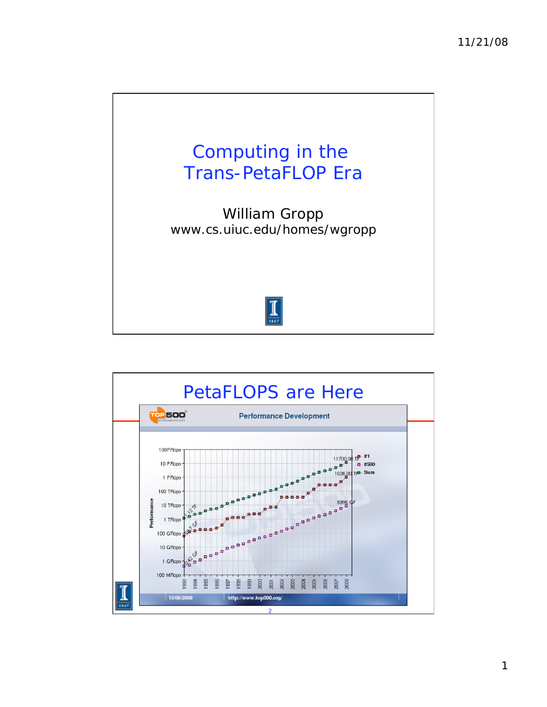

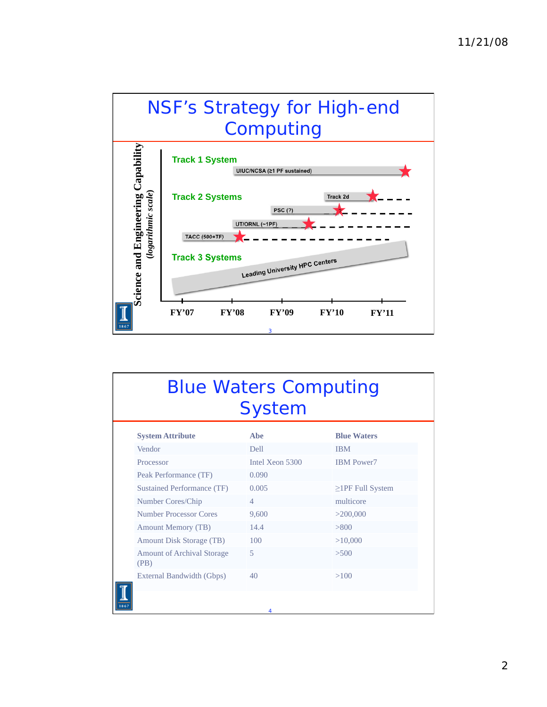

| <b>Blue Waters Computing</b><br><b>System</b> |                                   |                 |                        |
|-----------------------------------------------|-----------------------------------|-----------------|------------------------|
|                                               | <b>System Attribute</b>           | Abe             | <b>Blue Waters</b>     |
| Vendor                                        |                                   | <b>Dell</b>     | <b>IBM</b>             |
| Processor                                     |                                   | Intel Xeon 5300 | <b>IBM</b> Power7      |
|                                               | Peak Performance (TF)             | 0.090           |                        |
|                                               | Sustained Performance (TF)        | 0.005           | $\geq$ 1PF Full System |
|                                               | Number Cores/Chip                 | $\overline{4}$  | multicore              |
|                                               | Number Processor Cores            | 9,600           | >200,000               |
|                                               | <b>Amount Memory (TB)</b>         | 14.4            | > 800                  |
|                                               | <b>Amount Disk Storage (TB)</b>   | 100             | >10,000                |
| (PB)                                          | <b>Amount of Archival Storage</b> | 5               | >500                   |
|                                               | External Bandwidth (Gbps)         | 40              | >100                   |
|                                               |                                   | 4               |                        |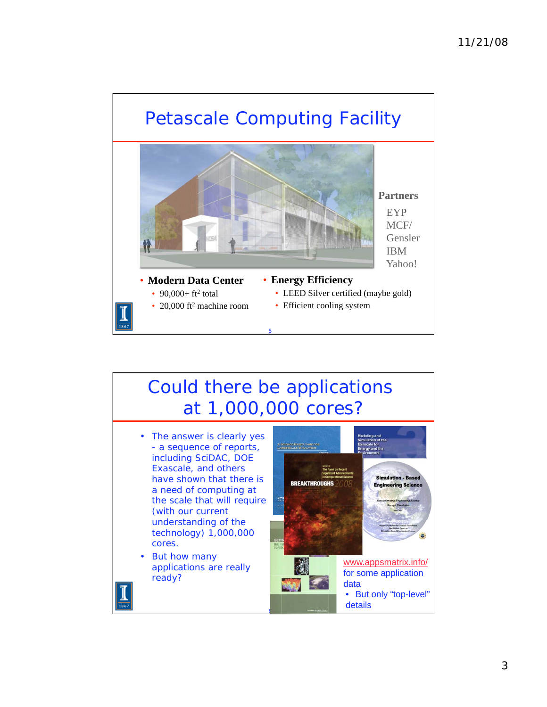

# Could there be applications at 1,000,000 cores?

- The answer is clearly yes - a sequence of reports, including SciDAC, DOE Exascale, and others have shown that there is a need of computing at the scale that will require (with our current understanding of the technology) 1,000,000 cores.
- But how many applications are really ready?

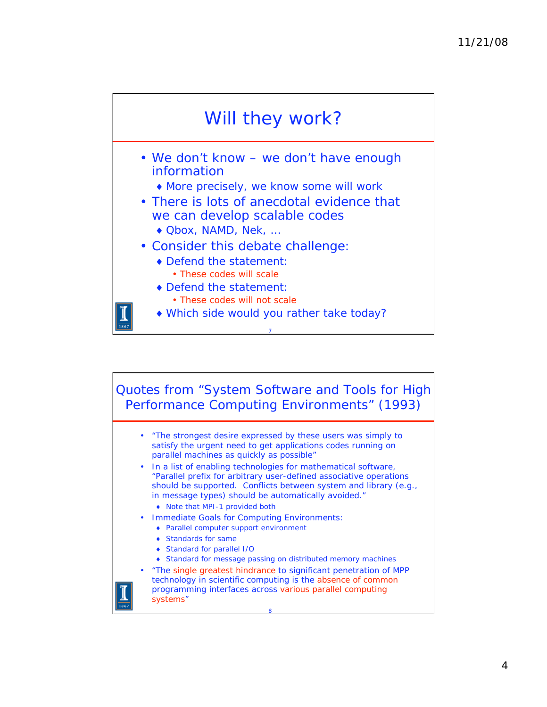

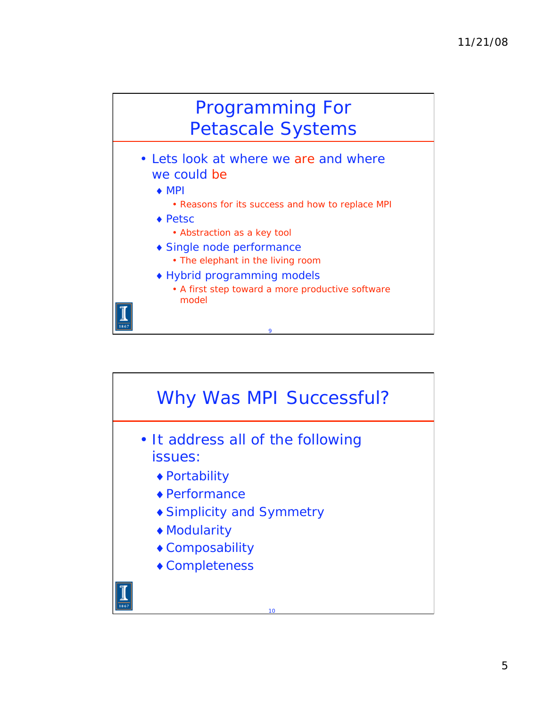

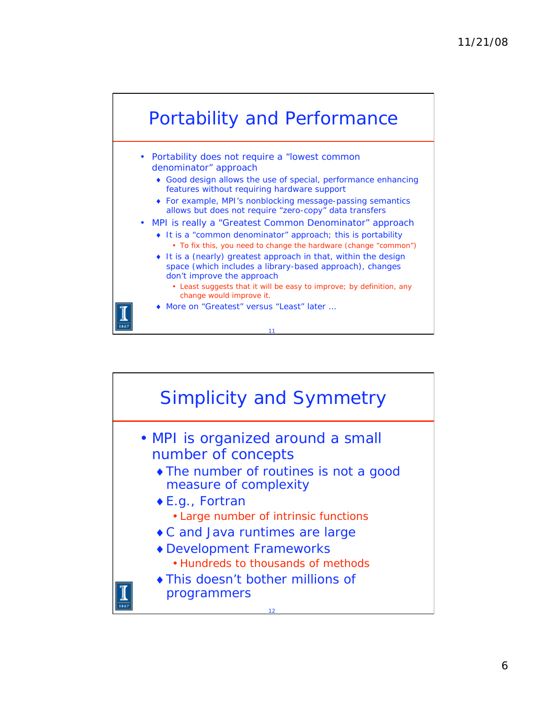

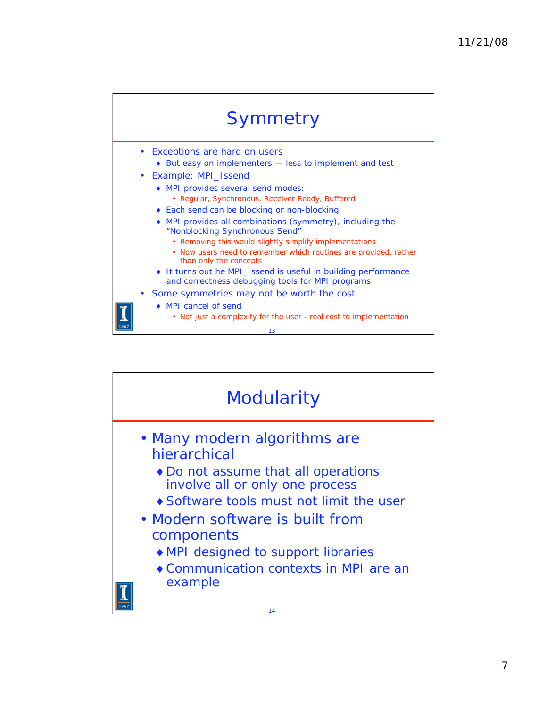

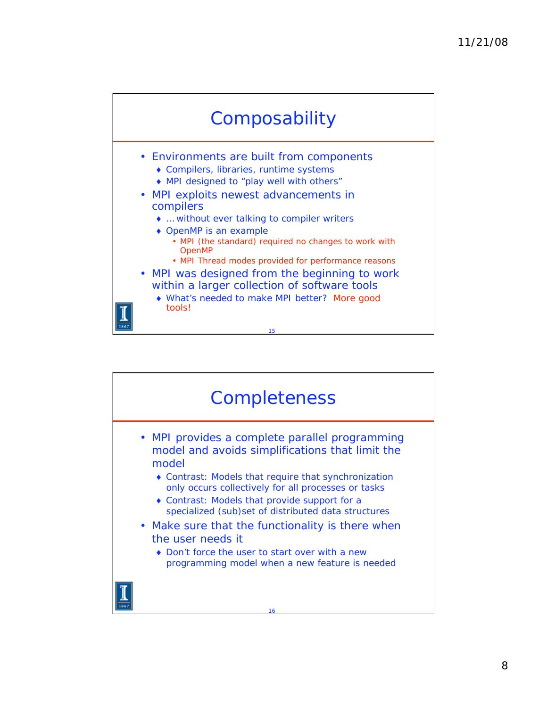

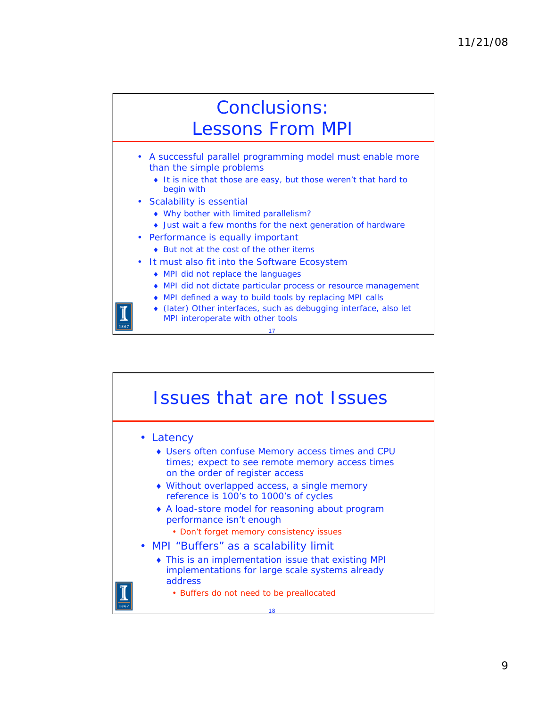### Conclusions: Lessons From MPI

- A successful parallel programming model must enable more than the simple problems
	- It is nice that those are easy, but those weren't that hard to begin with
- Scalability is essential
	- Why bother with limited parallelism?
	- Just wait a few months for the next generation of hardware
- Performance is equally important
	- ◆ But not at the cost of the other items
- It must also fit into the Software Ecosystem
	- MPI did not replace the languages
	- MPI did not dictate particular process or resource management
	- MPI defined a way to build tools by replacing MPI calls
	- (later) Other interfaces, such as debugging interface, also let MPI interoperate with other tools

17

#### 18 Issues that are not Issues • Latency Users often confuse Memory access times and CPU times; expect to see remote memory access times on the order of register access Without overlapped access, a single memory reference is 100's to 1000's of cycles A load-store model for reasoning about program performance isn't enough • Don't forget memory consistency issues • MPI "Buffers" as a scalability limit This is an implementation issue that existing MPI implementations for large scale systems already address • Buffers do not need to be preallocated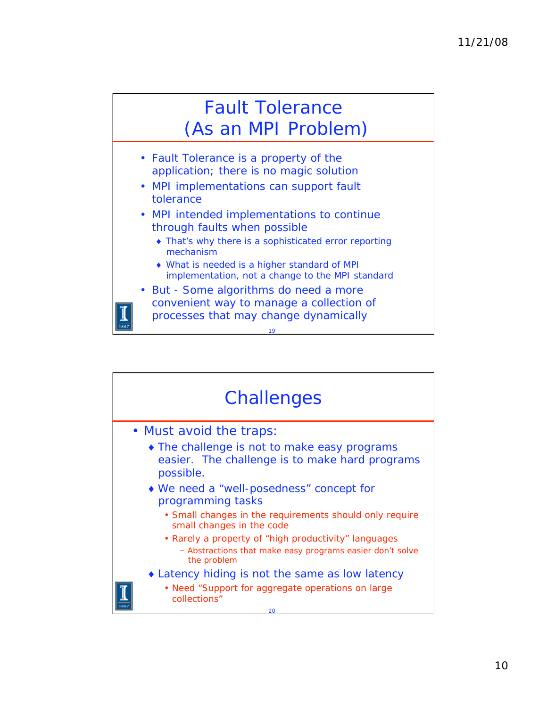# Fault Tolerance (As an MPI Problem)

- Fault Tolerance is a property of the application; there is no magic solution
- MPI implementations can support fault tolerance
- MPI intended implementations to continue through faults when possible
	- That's why there is a sophisticated error reporting mechanism
	- What is needed is a higher standard of MPI implementation, not a change to the MPI standard

19

• But - Some algorithms do need a more convenient way to manage a collection of processes that may change dynamically

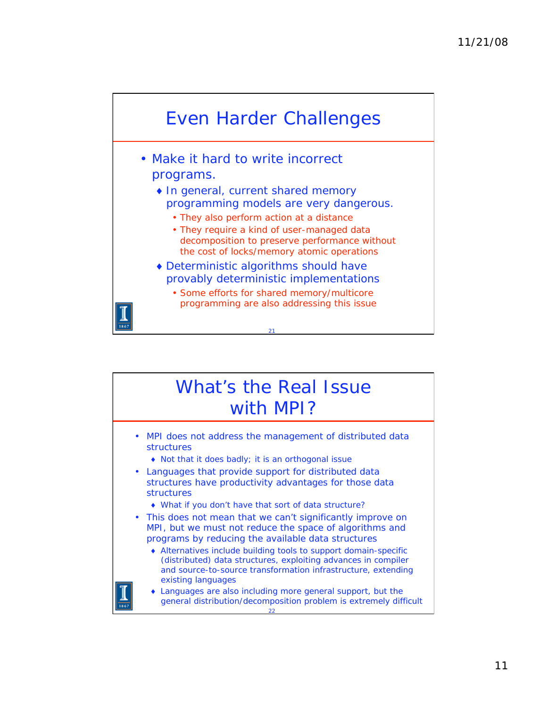

#### What's the Real Issue with MPI? • MPI does not address the management of distributed data structures Not that it does badly; it is an orthogonal issue • Languages that provide support for distributed data structures have productivity advantages for those data structures What if you don't have that sort of data structure? • This does not mean that we can't significantly improve on

- MPI, but we must not reduce the space of algorithms and programs by reducing the available data structures
	- Alternatives include building tools to support domain-specific (distributed) data structures, exploiting advances in compiler and source-to-source transformation infrastructure, extending existing languages
	- 22 Languages are also including more general support, but the general distribution/decomposition problem is extremely difficult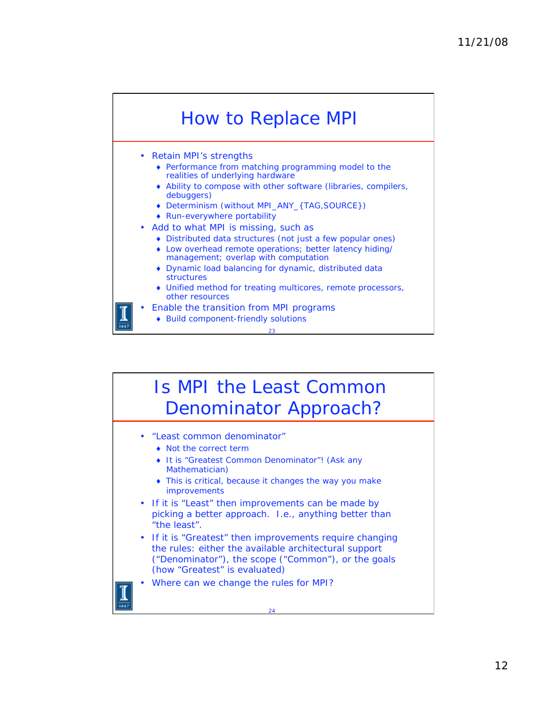

Build component-friendly solutions

Is MPI the Least Common Denominator Approach?

- "Least common denominator"
	- Not the correct term
	- ◆ It is "Greatest Common Denominator"! (Ask any Mathematician)
	- This is critical, because it changes the way you make improvements
- If it is "Least" then improvements can be made by picking a better approach. I.e., anything better than "the least".
- If it is "Greatest" then improvements require changing the rules: either the available architectural support ("Denominator"), the scope ("Common"), or the goals (how "Greatest" is evaluated)
- Where can we change the rules for MPI?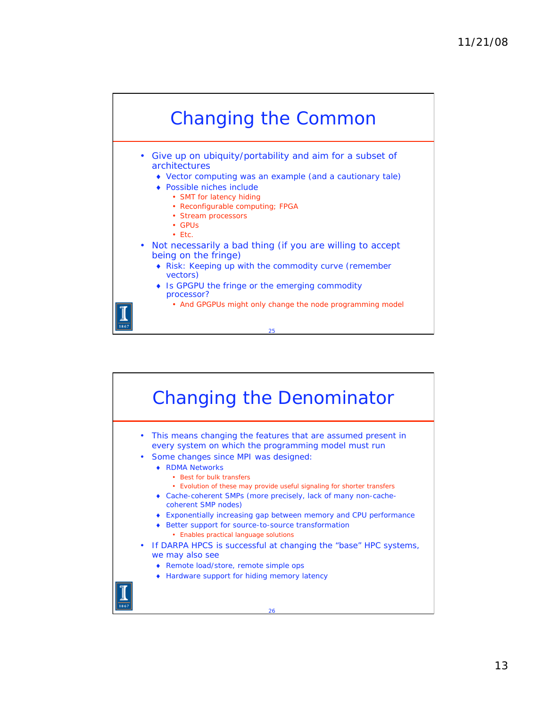

- Give up on ubiquity/portability and aim for a subset of architectures
	- Vector computing was an example (and a cautionary tale)
	- Possible niches include
		- SMT for latency hiding
		- Reconfigurable computing; FPGA
		- Stream processors
		- GPUs
		- Etc.
- Not necessarily a bad thing (if you are willing to accept being on the fringe)
	- Risk: Keeping up with the commodity curve (remember vectors)

- ◆ Is GPGPU the fringe or the emerging commodity processor?
	- And GPGPUs might only change the node programming model

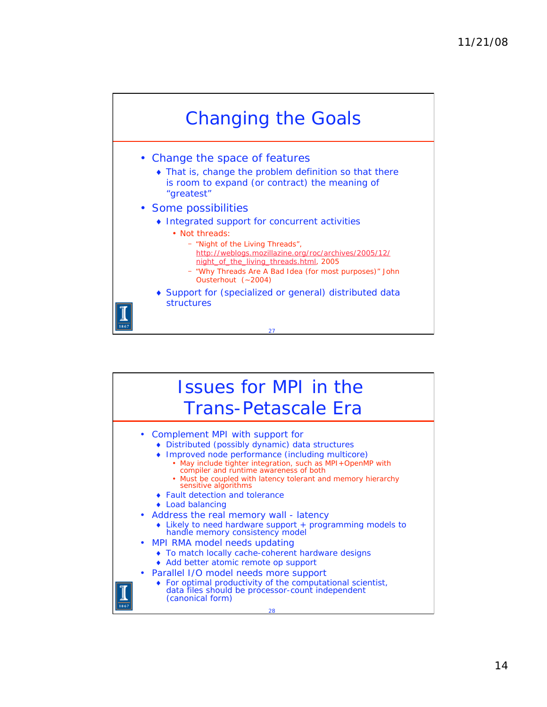

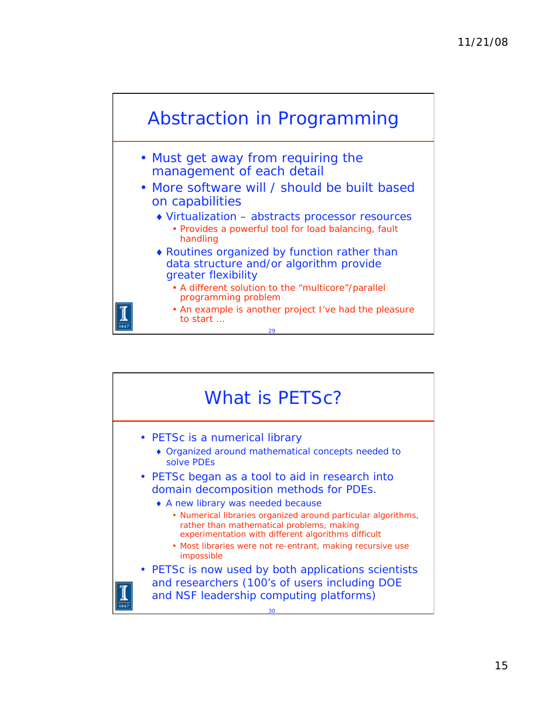

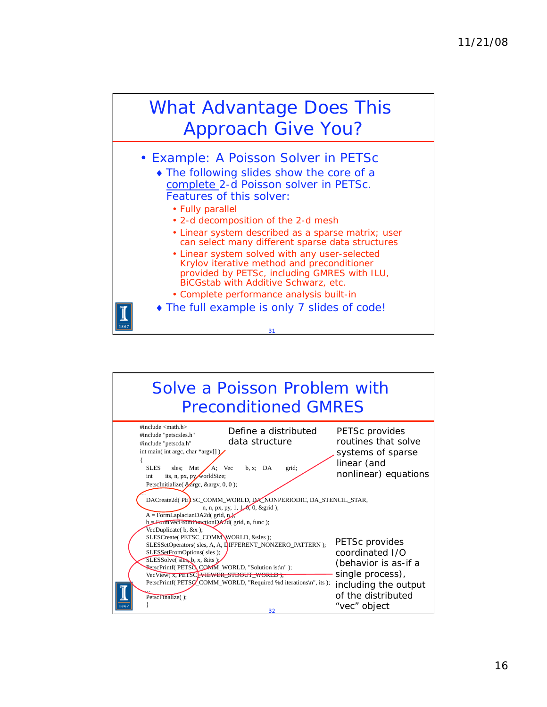## What Advantage Does This Approach Give You?

• Example: A Poisson Solver in PETSc

- The following slides show the core of a complete 2-d Poisson solver in PETSc. Features of this solver:
	- Fully parallel
	- 2-d decomposition of the 2-d mesh
	- Linear system described as a sparse matrix; user can select many different sparse data structures
	- Linear system solved with any user-selected Krylov iterative method and preconditioner provided by PETSc, including GMRES with ILU, BiCGstab with Additive Schwarz, etc.
	- Complete performance analysis built-in
- The full example is only 7 slides of code!

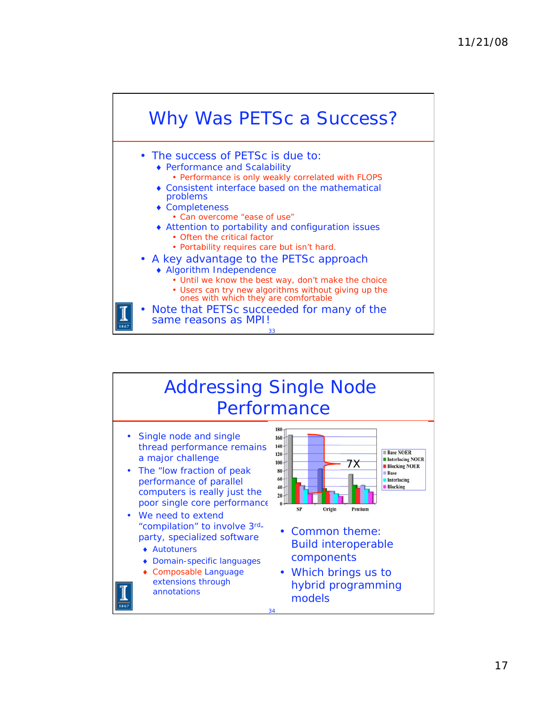

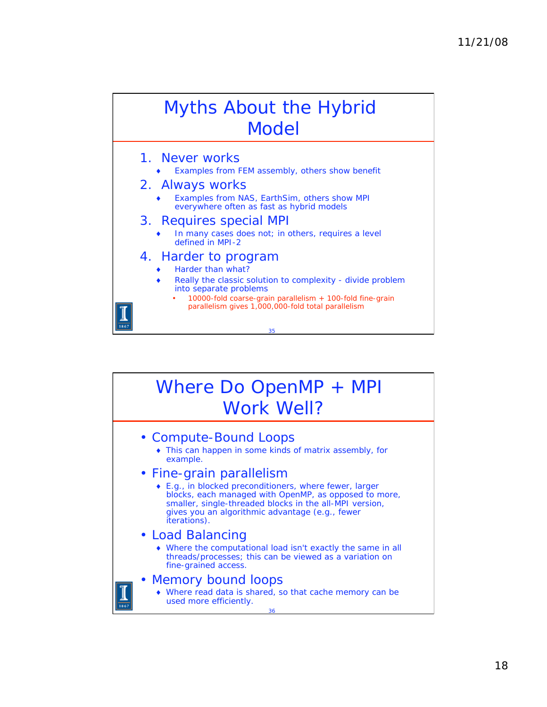# Myths About the Hybrid Model

- 1. Never works
	- Examples from FEM assembly, others show benefit
- 2. Always works
	- Examples from NAS, EarthSim, others show MPI everywhere often as fast as hybrid models
- 3. Requires special MPI
	- In many cases does not; in others, requires a level defined in MPI-2
- 4. Harder to program
	- Harder than what?
	- Really the classic solution to complexity divide problem into separate problems
		- 10000-fold coarse-grain parallelism + 100-fold fine-grain parallelism gives 1,000,000-fold total parallelism

35

## Where Do OpenMP + MPI Work Well?

- Compute-Bound Loops
	- This can happen in some kinds of matrix assembly, for example.

#### • Fine-grain parallelism

- E.g., in blocked preconditioners, where fewer, larger blocks, each managed with OpenMP, as opposed to more, smaller, single-threaded blocks in the all-MPI version, gives you an algorithmic advantage (e.g., fewer iterations).
- Load Balancing
	- Where the computational load isn't exactly the same in all threads/processes; this can be viewed as a variation on fine-grained access.
- Memory bound loops
	- Where read data is shared, so that cache memory can be used more efficiently.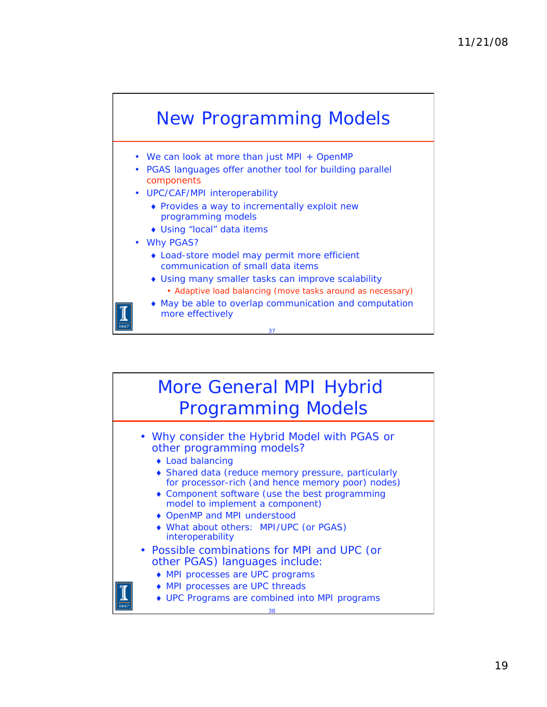

- We can look at more than just MPI + OpenMP
- PGAS languages offer another tool for building parallel components
- UPC/CAF/MPI interoperability
	- Provides a way to incrementally exploit new programming models
	- Using "local" data items
- Why PGAS?
	- Load-store model may permit more efficient communication of small data items
	- Using many smaller tasks can improve scalability • Adaptive load balancing (move tasks around as necessary)
	- May be able to overlap communication and computation more effectively

37

### More General MPI Hybrid Programming Models

• Why consider the Hybrid Model with PGAS or other programming models?

- Load balancing
- Shared data (reduce memory pressure, particularly for processor-rich (and hence memory poor) nodes)
- Component software (use the best programming model to implement a component)
- ◆ OpenMP and MPI understood
- What about others: MPI/UPC (or PGAS) interoperability
- Possible combinations for MPI and UPC (or other PGAS) languages include:
	- MPI processes are UPC programs
	- MPI processes are UPC threads
	- UPC Programs are combined into MPI programs

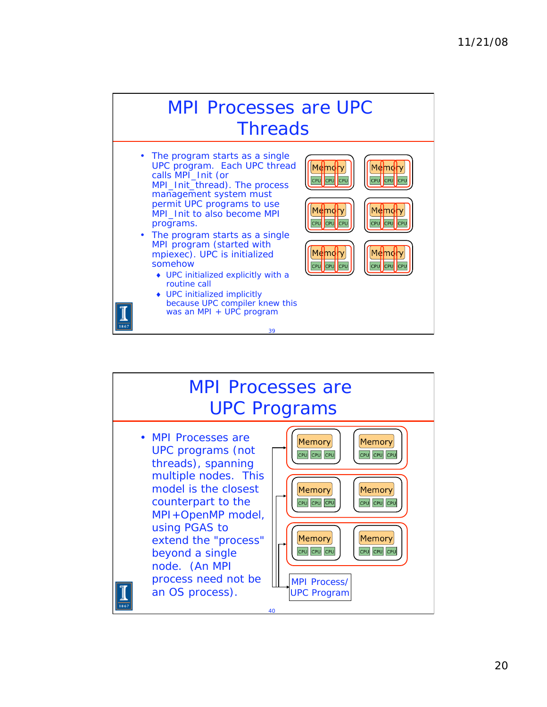

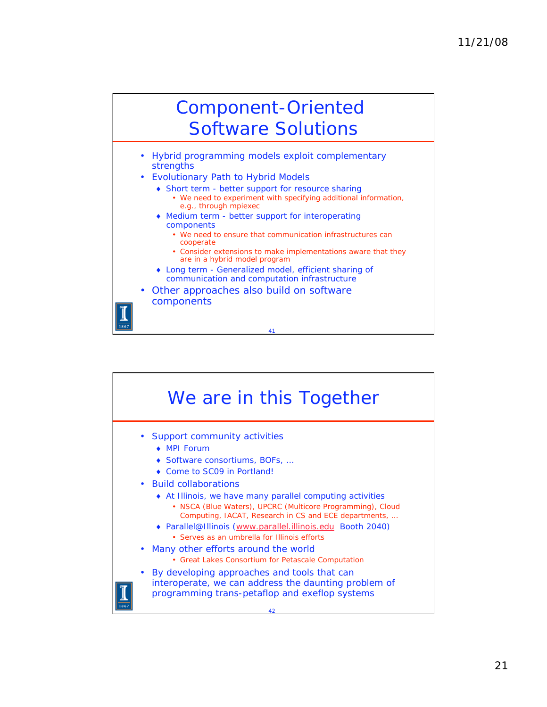# Component-Oriented Software Solutions

- Hybrid programming models exploit complementary strengths
- Evolutionary Path to Hybrid Models
	- Short term better support for resource sharing • We need to experiment with specifying additional information, e.g., through mpiexec
	- Medium term better support for interoperating components
		- We need to ensure that communication infrastructures can cooperate
		- Consider extensions to make implementations aware that they are in a hybrid model program
	- Long term Generalized model, efficient sharing of communication and computation infrastructure

41

• Other approaches also build on software components